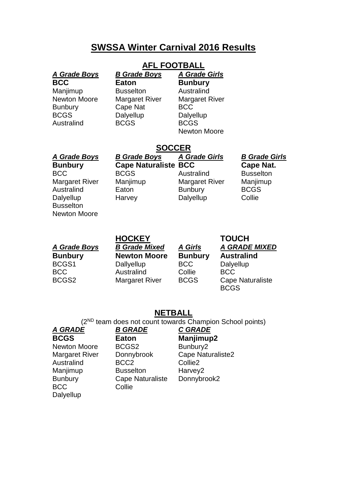## **SWSSA Winter Carnival 2016 Results**

### **AFL FOOTBALL** *A Grade Boys B Grade Boys A Grade Girls*

| <b>BCC</b><br>Manjimup<br><b>Newton Moore</b><br><b>Bunbury</b><br><b>BCGS</b><br>Australind                                                | Eaton<br><b>Busselton</b><br><b>Margaret River</b><br><b>Cape Nat</b><br>Dalyellup<br><b>BCGS</b> | <b>Bunbury</b><br>Australind<br><b>Margaret River</b><br><b>BCC</b><br>Dalyellup<br><b>BCGS</b><br>Newton Moore |
|---------------------------------------------------------------------------------------------------------------------------------------------|---------------------------------------------------------------------------------------------------|-----------------------------------------------------------------------------------------------------------------|
|                                                                                                                                             | <b>SOCCER</b>                                                                                     |                                                                                                                 |
| A Grade Boys<br><b>Bunbury</b><br><b>BCC</b><br><b>Margaret River</b><br>Australind<br>Dalyellup<br><b>Busselton</b><br><b>Newton Moore</b> | <b>B Grade Boys</b><br><b>Cape Naturaliste BCC</b><br><b>BCGS</b><br>Manjimup<br>Eaton<br>Harvey  | <b>A Grade Girls</b><br>Australind<br><b>Margaret River</b><br><b>Bunbury</b><br>Dalyellup                      |

**HOCKEY TOUCH**

*A Grade Boys B Grade Mixed A Girls A GRADE MIXED* **Bunbury Newton Moore Bunbury Australind** BCGS1 Dallyellup BCC Dalyellup BCC Australind Collie BCC

*A Grade Boys B Grade Boys A Grade Girls B Grade Girls* **BCC Cape Nat.** 

ustralind Busselton Margaret River Manjimup Aunbury BCGS alyellup Collie

BCGS2 Margaret River BCGS Cape Naturaliste BCGS

### **NETBALL**

(2ND team does not count towards Champion School points)

BCC Collie **Dalyellup** 

### *A GRADE B GRADE C GRADE*

**BCGS Eaton Manjimup2** Newton Moore BCGS2 Bunbury2 Australind BCC2 Collie2 Manjimup Busselton Harvey2 Bunbury Cape Naturaliste Donnybrook2

Margaret River Donnybrook Cape Naturaliste2